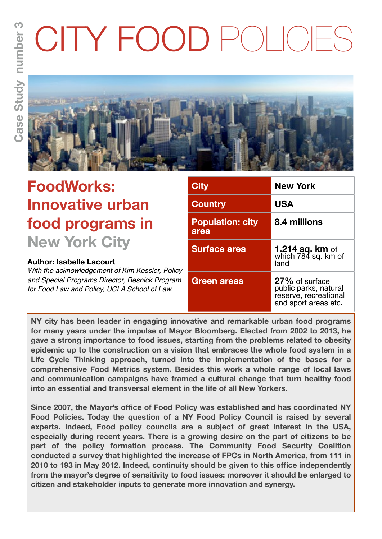# CITY FOOD POLICIES



# **FoodWorks: Innovative urban food programs in New York City**

# **Author: Isabelle Lacourt**

*With the acknowledgement of Kim Kessler, Policy and Special Programs Director, Resnick Program for Food Law and Policy, UCLA School of Law.*

| <b>City</b>                     | <b>New York</b>                                                                          |  |
|---------------------------------|------------------------------------------------------------------------------------------|--|
| <b>Country</b>                  | <b>USA</b>                                                                               |  |
| <b>Population: city</b><br>area | 8.4 millions                                                                             |  |
| <b>Surface area</b>             | <b>1.214 sq. km</b> of<br>which 784 sq. km of<br>land                                    |  |
| Green areas                     | 27% of surface<br>public parks, natural<br>reserve, recreational<br>and sport areas etc. |  |

**NY city has been leader in engaging innovative and remarkable urban food programs for many years under the impulse of Mayor Bloomberg. Elected from 2002 to 2013, he gave a strong importance to food issues, starting from the problems related to obesity epidemic up to the construction on a vision that embraces the whole food system in a Life Cycle Thinking approach, turned into the implementation of the bases for a comprehensive Food Metrics system. Besides this work a whole range of local laws and communication campaigns have framed a cultural change that turn healthy food into an essential and transversal element in the life of all New Yorkers.**

**Since 2007, the Mayor's office of Food Policy was established and has coordinated NY Food Policies. Today the question of a NY Food Policy Council is raised by several experts. Indeed, Food policy councils are a subject of great interest in the USA, especially during recent years. There is a growing desire on the part of citizens to be part of the policy formation process. The Community Food Security Coalition conducted a survey that highlighted the increase of FPCs in North America, from 111 in 2010 to 193 in May 2012. Indeed, continuity should be given to this office independently from the mayor's degree of sensitivity to food issues: moreover it should be enlarged to citizen and stakeholder inputs to generate more innovation and synergy.**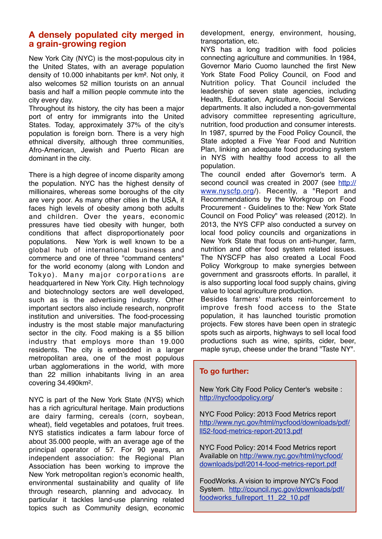#### **A densely populated city merged in a grain-growing region**

New York City (NYC) is the most-populous city in the United States, with an average population density of 10.000 inhabitants per km². Not only, it also welcomes 52 million tourists on an annual basis and half a million people commute into the city every day.

Throughout its history, the city has been a major port of entry for immigrants into the United States. Today, approximately 37% of the city's population is foreign born. There is a very high ethnical diversity, although three communities, Afro-American, Jewish and Puerto Rican are dominant in the city.

There is a high degree of income disparity among the population. NYC has the highest density of millionaires, whereas some boroughs of the city are very poor. As many other cities in the USA, it faces high levels of obesity among both adults and children. Over the years, economic pressures have tied obesity with hunger, both conditions that affect disproportionately poor populations. New York is well known to be a global hub of international business and commerce and one of three "command centers" for the world economy (along with London and Tokyo). Many major corporations are headquartered in New York City. High technology and biotechnology sectors are well developed, such as is the advertising industry. Other important sectors also include research, nonprofit institution and universities. The food-processing industry is the most stable major manufacturing sector in the city. Food making is a \$5 billion industry that employs more than 19.000 residents. The city is embedded in a larger metropolitan area, one of the most populous urban agglomerations in the world, with more than 22 million inhabitants living in an area covering 34.490km2.

NYC is part of the New York State (NYS) which has a rich agricultural heritage. Main productions are dairy farming, cereals (corn, soybean, wheat), field vegetables and potatoes, fruit trees. NYS statistics indicates a farm labour force of about 35.000 people, with an average age of the principal operator of 57. For 90 years, an independent association: the Regional Plan Association has been working to improve the New York metropolitan region's economic health, environmental sustainability and quality of life through research, planning and advocacy. In particular it tackles land-use planning related topics such as Community design, economic

development, energy, environment, housing, transportation, etc.

NYS has a long tradition with food policies connecting agriculture and communities. In 1984, Governor Mario Cuomo launched the first New York State Food Policy Council, on Food and Nutrition policy. That Council included the leadership of seven state agencies, including Health, Education, Agriculture, Social Services departments. It also included a non-governmental advisory committee representing agriculture, nutrition, food production and consumer interests. In 1987, spurred by the Food Policy Council, the State adopted a Five Year Food and Nutrition Plan, linking an adequate food producing system in NYS with healthy food access to all the population.

The council ended after Governor's term. A second council was created in 2007 (see [http://](http://www.nyscfp.org) [www.nyscfp.org/](http://www.nyscfp.org)). Recently, a "Report and Recommendations by the Workgroup on Food Procurement - Guidelines to the: New York State Council on Food Policy" was released (2012). In 2013, the NYS CFP also conducted a survey on local food policy councils and organizations in New York State that focus on anti-hunger, farm, nutrition and other food system related issues. The NYSCFP has also created a Local Food Policy Workgroup to make synergies between government and grassroots efforts. In parallel, it is also supporting local food supply chains, giving value to local agriculture production.

Besides farmers' markets reinforcement to improve fresh food access to the State population, it has launched touristic promotion projects. Few stores have been open in strategic spots such as airports, highways to sell local food productions such as wine, spirits, cider, beer, maple syrup, cheese under the brand "Taste NY".

#### **To go further:**

New York City Food Policy Center's website : [http://nycfoodpolicy.org/](http://nycfoodpolicy.org)

NYC Food Policy: 2013 Food Metrics report [http://www.nyc.gov/html/nycfood/downloads/pdf/](http://www.nyc.gov/html/nycfood/downloads/pdf/ll52-food-metrics-report-2013.pdf) [ll52-food-metrics-report-2013.pdf](http://www.nyc.gov/html/nycfood/downloads/pdf/ll52-food-metrics-report-2013.pdf)

NYC Food Policy: 2014 Food Metrics report Available on [http://www.nyc.gov/html/nycfood/](http://www.nyc.gov/html/nycfood/downloads/pdf/2014-food-metrics-report.pdf) [downloads/pdf/2014-food-metrics-report.pdf](http://www.nyc.gov/html/nycfood/downloads/pdf/2014-food-metrics-report.pdf)

FoodWorks. A vision to improve NYC's Food System. [http://council.nyc.gov/downloads/pdf/](http://council.nyc.gov/downloads/pdf/foodworks_fullreport_11_22_10.pdf) [foodworks\\_fullreport\\_11\\_22\\_10.pdf](http://council.nyc.gov/downloads/pdf/foodworks_fullreport_11_22_10.pdf)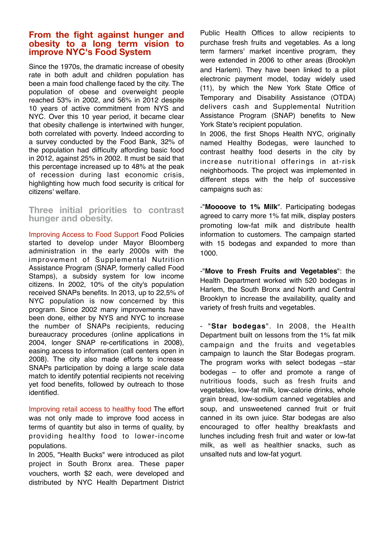#### **From the fight against hunger and obesity to a long term vision to improve NYC's Food System**

Since the 1970s, the dramatic increase of obesity rate in both adult and children population has been a main food challenge faced by the city. The population of obese and overweight people reached 53% in 2002, and 56% in 2012 despite 10 years of active commitment from NYS and NYC. Over this 10 year period, it became clear that obesity challenge is intertwined with hunger, both correlated with poverty. Indeed according to a survey conducted by the Food Bank, 32% of the population had difficulty affording basic food in 2012, against 25% in 2002. It must be said that this percentage increased up to 48% at the peak of recession during last economic crisis, highlighting how much food security is critical for citizens' welfare.

**Three initial priorities to contrast hunger and obesity.**

Improving Access to Food Support Food Policies started to develop under Mayor Bloomberg administration in the early 2000s with the improvement of Supplemental Nutrition Assistance Program (SNAP, formerly called Food Stamps), a subsidy system for low income citizens. In 2002, 10% of the city's population received SNAPs benefits. In 2013, up to 22,5% of NYC population is now concerned by this program. Since 2002 many improvements have been done, either by NYS and NYC to increase the number of SNAPs recipients, reducing bureaucracy procedures (online applications in 2004, longer SNAP re-certifications in 2008), easing access to information (call centers open in 2008). The city also made efforts to increase SNAPs participation by doing a large scale data match to identify potential recipients not receiving yet food benefits, followed by outreach to those identified.

Improving retail access to healthy food The effort was not only made to improve food access in terms of quantity but also in terms of quality, by providing healthy food to lower-income populations.

In 2005, "Health Bucks" were introduced as pilot project in South Bronx area. These paper vouchers, worth \$2 each, were developed and distributed by NYC Health Department District

Public Health Offices to allow recipients to purchase fresh fruits and vegetables. As a long term farmers' market incentive program, they were extended in 2006 to other areas (Brooklyn and Harlem). They have been linked to a pilot electronic payment model, today widely used (11), by which the New York State Office of Temporary and Disability Assistance (OTDA) delivers cash and Supplemental Nutrition Assistance Program (SNAP) benefits to New York State's recipient population.

In 2006, the first Shops Health NYC, originally named Healthy Bodegas, were launched to contrast healthy food deserts in the city by increase nutritional offerings in at-risk neighborhoods. The project was implemented in different steps with the help of successive campaigns such as:

-"**Moooove to 1% Milk**". Participating bodegas agreed to carry more 1% fat milk, display posters promoting low-fat milk and distribute health information to customers. The campaign started with 15 bodegas and expanded to more than 1000.

-"**Move to Fresh Fruits and Vegetables**": the Health Department worked with 520 bodegas in Harlem, the South Bronx and North and Central Brooklyn to increase the availability, quality and variety of fresh fruits and vegetables.

- "**Star bodegas**". In 2008, the Health Department built on lessons from the 1% fat milk campaign and the fruits and vegetables campaign to launch the Star Bodegas program. The program works with select bodegas –star bodegas – to offer and promote a range of nutritious foods, such as fresh fruits and vegetables, low-fat milk, low-calorie drinks, whole grain bread, low-sodium canned vegetables and soup, and unsweetened canned fruit or fruit canned in its own juice. Star bodegas are also encouraged to offer healthy breakfasts and lunches including fresh fruit and water or low-fat milk, as well as healthier snacks, such as unsalted nuts and low-fat yogurt.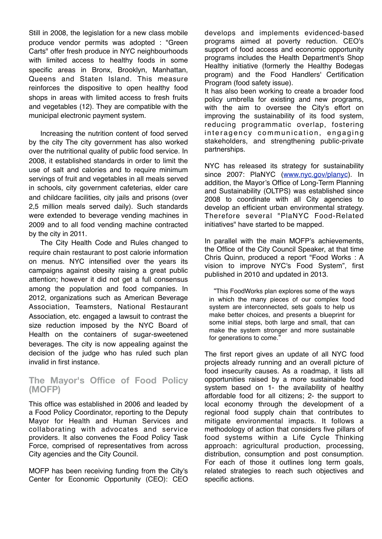Still in 2008, the legislation for a new class mobile produce vendor permits was adopted : "Green Carts" offer fresh produce in NYC neighbourhoods with limited access to healthy foods in some specific areas in Bronx, Brooklyn, Manhattan, Queens and Staten Island. This measure reinforces the dispositive to open healthy food shops in areas with limited access to fresh fruits and vegetables (12). They are compatible with the municipal electronic payment system.

Increasing the nutrition content of food served by the city The city government has also worked over the nutritional quality of public food service. In 2008, it established standards in order to limit the use of salt and calories and to require minimum servings of fruit and vegetables in all meals served in schools, city government cafeterias, elder care and childcare facilities, city jails and prisons (over 2,5 million meals served daily). Such standards were extended to beverage vending machines in 2009 and to all food vending machine contracted by the city in 2011.

The City Health Code and Rules changed to require chain restaurant to post calorie information on menus. NYC intensified over the years its campaigns against obesity raising a great public attention; however it did not get a full consensus among the population and food companies. In 2012, organizations such as American Beverage Association, Teamsters, National Restaurant Association, etc. engaged a lawsuit to contrast the size reduction imposed by the NYC Board of Health on the containers of sugar-sweetened beverages. The city is now appealing against the decision of the judge who has ruled such plan invalid in first instance.

#### **The Mayor's Office of Food Policy (MOFP)**

This office was established in 2006 and leaded by a Food Policy Coordinator, reporting to the Deputy Mayor for Health and Human Services and collaborating with advocates and service providers. It also convenes the Food Policy Task Force, comprised of representatives from across City agencies and the City Council.

MOFP has been receiving funding from the City's Center for Economic Opportunity (CEO): CEO develops and implements evidenced-based programs aimed at poverty reduction. CEO's support of food access and economic opportunity programs includes the Health Department's Shop Healthy initiative (formerly the Healthy Bodegas program) and the Food Handlers' Certification Program (food safety issue).

It has also been working to create a broader food policy umbrella for existing and new programs, with the aim to oversee the City's effort on improving the sustainability of its food system, reducing programmatic overlap, fostering interagency communication, engaging stakeholders, and strengthening public-private partnerships.

NYC has released its strategy for sustainability since 2007: PlaNYC [\(www.nyc.gov/planyc\)](http://www.nyc.gov/planyc). In addition, the Mayor's Office of Long-Term Planning and Sustainability (OLTPS) was established since 2008 to coordinate with all City agencies to develop an efficient urban environmental strategy. Therefore several "PlaNYC Food-Related initiatives" have started to be mapped.

In parallel with the main MOFP's achievements, the Office of the City Council Speaker, at that time Chris Quinn, produced a report "Food Works : A vision to improve NYC's Food System", first published in 2010 and updated in 2013.

"This FoodWorks plan explores some of the ways in which the many pieces of our complex food system are interconnected, sets goals to help us make better choices, and presents a blueprint for some initial steps, both large and small, that can make the system stronger and more sustainable for generations to come."

The first report gives an update of all NYC food projects already running and an overall picture of food insecurity causes. As a roadmap, it lists all opportunities raised by a more sustainable food system based on 1- the availability of healthy affordable food for all citizens; 2- the support to local economy through the development of a regional food supply chain that contributes to mitigate environmental impacts. It follows a methodology of action that considers five pillars of food systems within a Life Cycle Thinking approach: agricultural production, processing, distribution, consumption and post consumption. For each of those it outlines long term goals, related strategies to reach such objectives and specific actions.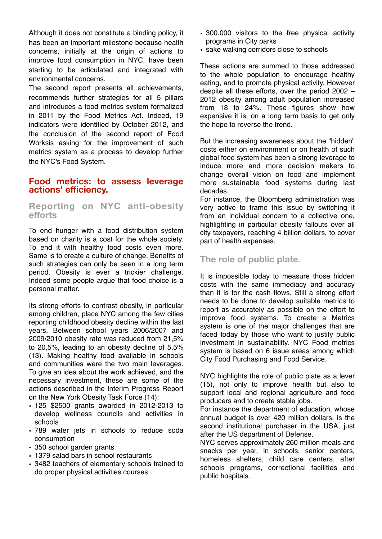Although it does not constitute a binding policy, it has been an important milestone because health concerns, initially at the origin of actions to improve food consumption in NYC, have been starting to be articulated and integrated with environmental concerns.

The second report presents all achievements, recommends further strategies for all 5 pillars and introduces a food metrics system formalized in 2011 by the Food Metrics Act. Indeed, 19 indicators were identified by October 2012, and the conclusion of the second report of Food Worksis asking for the improvement of such metrics system as a process to develop further the NYC's Food System.

#### **Food metrics: to assess leverage actions' efficiency.**

## **Reporting on NYC anti-obesity efforts**

To end hunger with a food distribution system based on charity is a cost for the whole society. To end it with healthy food costs even more. Same is to create a culture of change. Benefits of such strategies can only be seen in a long term period. Obesity is ever a trickier challenge. Indeed some people argue that food choice is a personal matter.

Its strong efforts to contrast obesity, in particular among children, place NYC among the few cities reporting childhood obesity decline within the last years. Between school years 2006/2007 and 2009/2010 obesity rate was reduced from 21,5% to 20,5%, leading to an obesity decline of 5,5% (13). Making healthy food available in schools and communities were the two main leverages. To give an idea about the work achieved, and the necessary investment, these are some of the actions described in the Interim Progress Report on the New York Obesity Task Force (14):

- 125 \$2500 grants awarded in 2012-2013 to develop wellness councils and activities in schools
- 789 water jets in schools to reduce soda consumption
- 350 school garden grants
- 1379 salad bars in school restaurants
- 3482 teachers of elementary schools trained to do proper physical activities courses
- 300.000 visitors to the free physical activity programs in City parks
- sake walking corridors close to schools

These actions are summed to those addressed to the whole population to encourage healthy eating, and to promote physical activity. However despite all these efforts, over the period 2002 – 2012 obesity among adult population increased from 18 to 24%. These figures show how expensive it is, on a long term basis to get only the hope to reverse the trend.

But the increasing awareness about the "hidden" costs either on environment or on health of such global food system has been a strong leverage to induce more and more decision makers to change overall vision on food and implement more sustainable food systems during last decades.

For instance, the Bloomberg administration was very active to frame this issue by switching it from an individual concern to a collective one, highlighting in particular obesity fallouts over all city taxpayers, reaching 4 billion dollars, to cover part of health expenses.

## **The role of public plate.**

It is impossible today to measure those hidden costs with the same immediacy and accuracy than it is for the cash flows. Still a strong effort needs to be done to develop suitable metrics to report as accurately as possible on the effort to improve food systems. To create a Metrics system is one of the major challenges that are faced today by those who want to justify public investment in sustainability. NYC Food metrics system is based on 6 issue areas among which City Food Purchasing and Food Service.

NYC highlights the role of public plate as a lever (15), not only to improve health but also to support local and regional agriculture and food producers and to create stable jobs.

For instance the department of education, whose annual budget is over 420 million dollars, is the second institutional purchaser in the USA, just after the US department of Defense.

NYC serves approximately 260 million meals and snacks per year, in schools, senior centers, homeless shelters, child care centers, after schools programs, correctional facilities and public hospitals.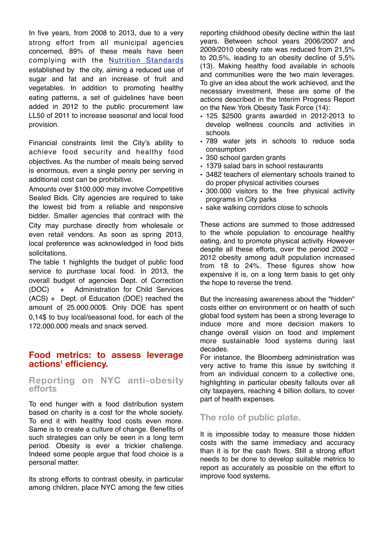In five years, from 2008 to 2013, due to a very strong effort from all municipal agencies concerned, 89% of these meals have been complying with the [Nutrition Standards](http://www.nyc.gov/html/nycfood/) established by the city, aiming a reduced use of sugar and fat and an increase of fruit and vegetables. In addition to promoting healthy eating patterns, a set of guidelines have been added in 2012 to the public procurement law LL50 of 2011 to increase seasonal and local food provision.

Financial constraints limit the City's ability to achieve food security and healthy food objectives. As the number of meals being served is enormous, even a single penny per serving in additional cost can be prohibitive.

Amounts over \$100.000 may involve Competitive Sealed Bids. City agencies are required to take the lowest bid from a reliable and responsive bidder. Smaller agencies that contract with the City may purchase directly from wholesale or even retail vendors. As soon as spring 2013, local preference was acknowledged in food bids solicitations.

The table 1 highlights the budget of public food service to purchase local food. In 2013, the overall budget of agencies Dept. of Correction (DOC) + Administration for Child Services (ACS) + Dept. of Education (DOE) reached the amount of 25.000.000\$. Only DOE has spent 0,14\$ to buy local/seasonal food, for each of the 172.000.000 meals and snack served.

## **Food metrics: to assess leverage actions' efficiency.**

#### **Reporting on NYC anti-obesity efforts**

To end hunger with a food distribution system based on charity is a cost for the whole society. To end it with healthy food costs even more. Same is to create a culture of change. Benefits of such strategies can only be seen in a long term period. Obesity is ever a trickier challenge. Indeed some people argue that food choice is a personal matter.

Its strong efforts to contrast obesity, in particular among children, place NYC among the few cities reporting childhood obesity decline within the last years. Between school years 2006/2007 and 2009/2010 obesity rate was reduced from 21,5% to 20,5%, leading to an obesity decline of 5,5% (13). Making healthy food available in schools and communities were the two main leverages. To give an idea about the work achieved, and the necessary investment, these are some of the actions described in the Interim Progress Report on the New York Obesity Task Force (14):

- 125 \$2500 grants awarded in 2012-2013 to develop wellness councils and activities in schools
- 789 water jets in schools to reduce soda consumption
- 350 school garden grants
- 1379 salad bars in school restaurants
- 3482 teachers of elementary schools trained to do proper physical activities courses
- 300.000 visitors to the free physical activity programs in City parks
- sake walking corridors close to schools

These actions are summed to those addressed to the whole population to encourage healthy eating, and to promote physical activity. However despite all these efforts, over the period 2002 – 2012 obesity among adult population increased from 18 to 24%. These figures show how expensive it is, on a long term basis to get only the hope to reverse the trend.

But the increasing awareness about the "hidden" costs either on environment or on health of such global food system has been a strong leverage to induce more and more decision makers to change overall vision on food and implement more sustainable food systems during last decades.

For instance, the Bloomberg administration was very active to frame this issue by switching it from an individual concern to a collective one, highlighting in particular obesity fallouts over all city taxpayers, reaching 4 billion dollars, to cover part of health expenses.

# **The role of public plate.**

It is impossible today to measure those hidden costs with the same immediacy and accuracy than it is for the cash flows. Still a strong effort needs to be done to develop suitable metrics to report as accurately as possible on the effort to improve food systems.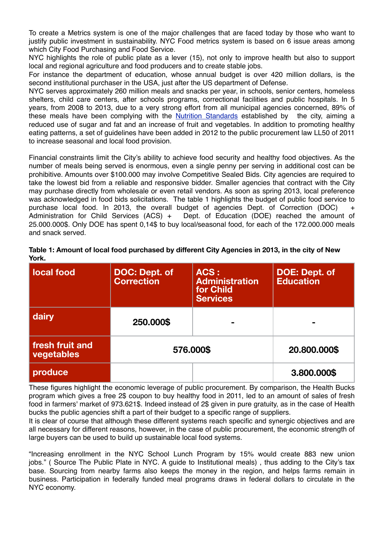To create a Metrics system is one of the major challenges that are faced today by those who want to justify public investment in sustainability. NYC Food metrics system is based on 6 issue areas among which City Food Purchasing and Food Service.

NYC highlights the role of public plate as a lever (15), not only to improve health but also to support local and regional agriculture and food producers and to create stable jobs.

For instance the department of education, whose annual budget is over 420 million dollars, is the second institutional purchaser in the USA, just after the US department of Defense.

NYC serves approximately 260 million meals and snacks per year, in schools, senior centers, homeless shelters, child care centers, after schools programs, correctional facilities and public hospitals. In 5 years, from 2008 to 2013, due to a very strong effort from all municipal agencies concerned, 89% of these meals have been complying with the [Nutrition Standards](http://www.nyc.gov/html/nycfood/) established by the city, aiming a reduced use of sugar and fat and an increase of fruit and vegetables. In addition to promoting healthy eating patterns, a set of guidelines have been added in 2012 to the public procurement law LL50 of 2011 to increase seasonal and local food provision.

Financial constraints limit the City's ability to achieve food security and healthy food objectives. As the number of meals being served is enormous, even a single penny per serving in additional cost can be prohibitive. Amounts over \$100.000 may involve Competitive Sealed Bids. City agencies are required to take the lowest bid from a reliable and responsive bidder. Smaller agencies that contract with the City may purchase directly from wholesale or even retail vendors. As soon as spring 2013, local preference was acknowledged in food bids solicitations. The table 1 highlights the budget of public food service to purchase local food. In 2013, the overall budget of agencies Dept. of Correction (DOC) + Administration for Child Services (ACS) + Dept. of Education (DOE) reached the amount of 25.000.000\$. Only DOE has spent 0,14\$ to buy local/seasonal food, for each of the 172.000.000 meals and snack served.

| l local food                  | <b>DOC: Dept. of</b><br><b>Correction</b> | ACS:<br><b>Administration</b><br>for Child<br><b>Services</b> | <b>DOE: Dept. of</b><br><b>Education</b> |
|-------------------------------|-------------------------------------------|---------------------------------------------------------------|------------------------------------------|
| dairy                         | 250.000\$                                 |                                                               |                                          |
| fresh fruit and<br>vegetables | 576.000\$                                 |                                                               | 20.800.000\$                             |
| produce                       |                                           |                                                               | 3.800.000\$                              |

**Table 1: Amount of local food purchased by different City Agencies in 2013, in the city of New York.** 

These figures highlight the economic leverage of public procurement. By comparison, the Health Bucks program which gives a free 2\$ coupon to buy healthy food in 2011, led to an amount of sales of fresh food in farmers' market of 973.621\$. Indeed instead of 2\$ given in pure gratuity, as in the case of Health bucks the public agencies shift a part of their budget to a specific range of suppliers.

It is clear of course that although these different systems reach specific and synergic objectives and are all necessary for different reasons, however, in the case of public procurement, the economic strength of large buyers can be used to build up sustainable local food systems.

"Increasing enrollment in the NYC School Lunch Program by 15% would create 883 new union jobs." ( Source The Public Plate in NYC. A guide to Institutional meals) , thus adding to the City's tax base. Sourcing from nearby farms also keeps the money in the region, and helps farms remain in business. Participation in federally funded meal programs draws in federal dollars to circulate in the NYC economy.